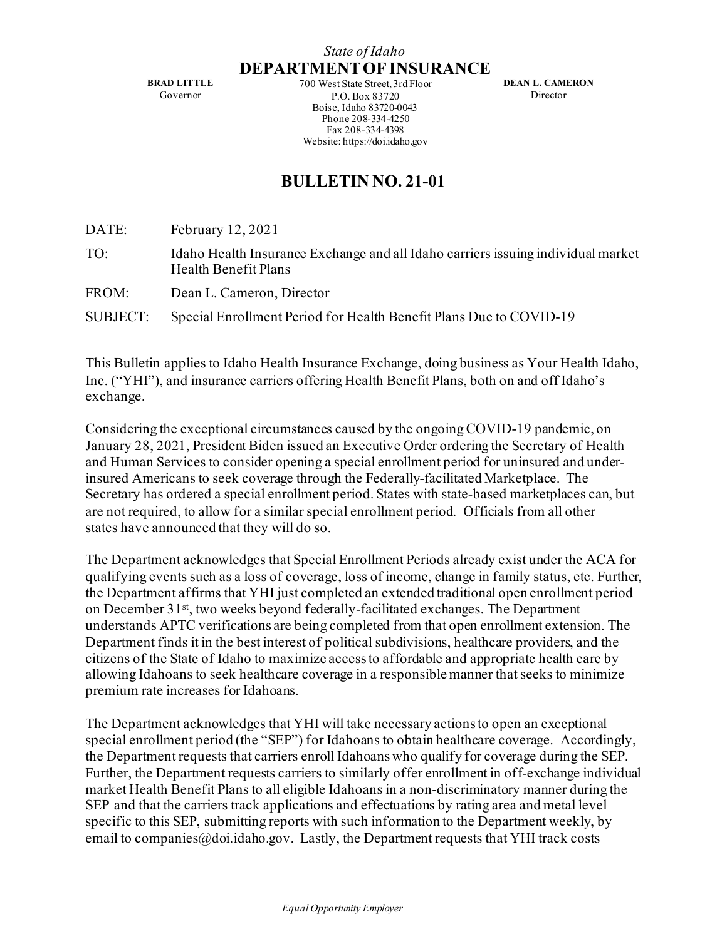**BRAD LITTLE** Governor

*State of Idaho* **DEPARTMENT OF INSURANCE** 700 West State Street, 3rd Floor P.O. Box 83720

> Boise, Idaho 83720-0043 Phone 208-334-4250 Fax 208-334-4398 Website: https://doi.idaho.gov

**DEAN L. CAMERON** Director

## **BULLETIN NO. 21-01**

| DATE:    | February 12, 2021                                                                                        |
|----------|----------------------------------------------------------------------------------------------------------|
| TO:      | Idaho Health Insurance Exchange and all Idaho carriers issuing individual market<br>Health Benefit Plans |
| FROM:    | Dean L. Cameron, Director                                                                                |
| SUBJECT: | Special Enrollment Period for Health Benefit Plans Due to COVID-19                                       |
|          |                                                                                                          |

This Bulletin applies to Idaho Health Insurance Exchange, doing business as Your Health Idaho, Inc. ("YHI"), and insurance carriers offering Health Benefit Plans, both on and off Idaho's exchange.

Considering the exceptional circumstances caused by the ongoing COVID-19 pandemic, on January 28, 2021, President Biden issued an Executive Order ordering the Secretary of Health and Human Services to consider opening a special enrollment period for uninsured and underinsured Americans to seek coverage through the Federally-facilitated Marketplace. The Secretary has ordered a special enrollment period. States with state-based marketplaces can, but are not required, to allow for a similar special enrollment period. Officials from all other states have announced that they will do so.

The Department acknowledges that Special Enrollment Periods already exist under the ACA for qualifying events such as a loss of coverage, loss of income, change in family status, etc. Further, the Department affirms that YHI just completed an extended traditional open enrollment period on December 31st, two weeks beyond federally-facilitated exchanges. The Department understands APTC verifications are being completed from that open enrollment extension. The Department finds it in the best interest of political subdivisions, healthcare providers, and the citizens of the State of Idaho to maximize access to affordable and appropriate health care by allowing Idahoans to seek healthcare coverage in a responsible manner that seeks to minimize premium rate increases for Idahoans.

The Department acknowledges that YHI will take necessary actions to open an exceptional special enrollment period (the "SEP") for Idahoans to obtain healthcare coverage. Accordingly, the Department requests that carriers enroll Idahoans who qualify for coverage during the SEP. Further, the Department requests carriers to similarly offer enrollment in off-exchange individual market Health Benefit Plans to all eligible Idahoans in a non-discriminatory manner during the SEP and that the carriers track applications and effectuations by rating area and metal level specific to this SEP, submitting reports with such information to the Department weekly, by email to companies  $@$ , doi. idaho.gov. Lastly, the Department requests that YHI track costs